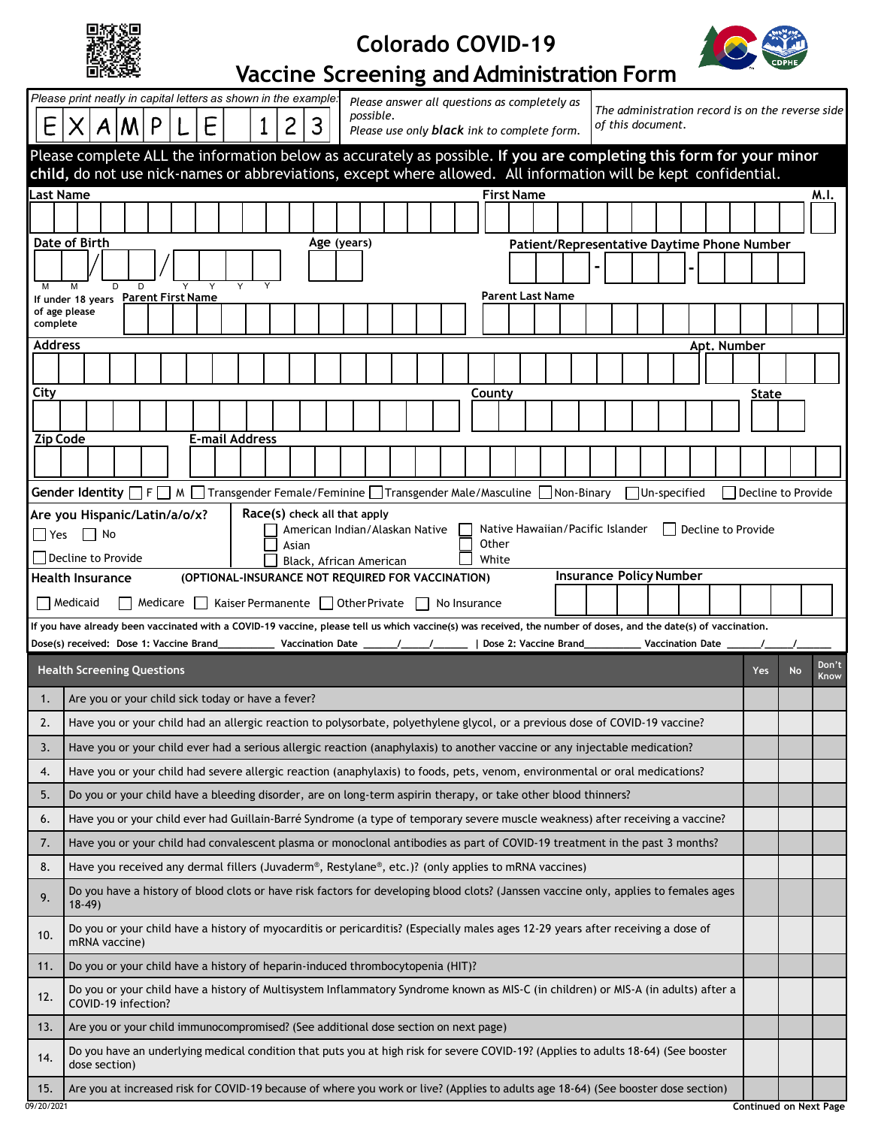| a.<br>ж<br>53<br>×× |
|---------------------|
|---------------------|

## **Colorado COVID-19**



٦

## **Vaccine Screening and Administration Form**

|                                                                                                                              | Please print neatly in capital letters as shown in the example.<br>Please answer all questions as completely as                                                                                                                                                                                                       |                    |           |               |  |  |  |  |
|------------------------------------------------------------------------------------------------------------------------------|-----------------------------------------------------------------------------------------------------------------------------------------------------------------------------------------------------------------------------------------------------------------------------------------------------------------------|--------------------|-----------|---------------|--|--|--|--|
| E                                                                                                                            | The administration record is on the reverse side<br>possible.<br>E<br>2<br>3<br>P<br>of this document.<br>Please use only <b>black</b> ink to complete form.                                                                                                                                                          |                    |           |               |  |  |  |  |
| Please complete ALL the information below as accurately as possible. If you are completing this form for your minor          |                                                                                                                                                                                                                                                                                                                       |                    |           |               |  |  |  |  |
| child, do not use nick-names or abbreviations, except where allowed. All information will be kept confidential.<br>Last Name |                                                                                                                                                                                                                                                                                                                       |                    |           |               |  |  |  |  |
|                                                                                                                              | <b>First Name</b>                                                                                                                                                                                                                                                                                                     |                    |           | M.I.          |  |  |  |  |
|                                                                                                                              |                                                                                                                                                                                                                                                                                                                       |                    |           |               |  |  |  |  |
|                                                                                                                              | Date of Birth<br>Age (years)<br>Patient/Representative Daytime Phone Number                                                                                                                                                                                                                                           |                    |           |               |  |  |  |  |
| M                                                                                                                            | M<br>D<br>D                                                                                                                                                                                                                                                                                                           |                    |           |               |  |  |  |  |
|                                                                                                                              | <b>Parent Last Name</b><br>If under 18 years Parent First Name<br>of age please                                                                                                                                                                                                                                       |                    |           |               |  |  |  |  |
| complete                                                                                                                     |                                                                                                                                                                                                                                                                                                                       |                    |           |               |  |  |  |  |
| Address                                                                                                                      | Apt. Number                                                                                                                                                                                                                                                                                                           |                    |           |               |  |  |  |  |
|                                                                                                                              |                                                                                                                                                                                                                                                                                                                       |                    |           |               |  |  |  |  |
| City                                                                                                                         | County                                                                                                                                                                                                                                                                                                                | State              |           |               |  |  |  |  |
|                                                                                                                              |                                                                                                                                                                                                                                                                                                                       |                    |           |               |  |  |  |  |
| <b>Zip Code</b>                                                                                                              | <b>E-mail Address</b>                                                                                                                                                                                                                                                                                                 |                    |           |               |  |  |  |  |
|                                                                                                                              |                                                                                                                                                                                                                                                                                                                       |                    |           |               |  |  |  |  |
|                                                                                                                              | <b>Gender Identity</b> $\Box$ F $\Box$ M $\Box$ Transgender Female/Feminine $\Box$ Transgender Male/Masculine $\Box$ Non-Binary<br>Un-specified                                                                                                                                                                       | Decline to Provide |           |               |  |  |  |  |
|                                                                                                                              | Race(s) check all that apply<br>Are you Hispanic/Latin/a/o/x?<br>Native Hawaiian/Pacific Islander<br>  Decline to Provide<br>American Indian/Alaskan Native                                                                                                                                                           |                    |           |               |  |  |  |  |
| $\Box$ Yes                                                                                                                   | No<br>Other<br>Asian                                                                                                                                                                                                                                                                                                  |                    |           |               |  |  |  |  |
|                                                                                                                              | Decline to Provide<br>White<br>Black, African American<br><b>Insurance Policy Number</b>                                                                                                                                                                                                                              |                    |           |               |  |  |  |  |
|                                                                                                                              | <b>Health Insurance</b><br>(OPTIONAL-INSURANCE NOT REQUIRED FOR VACCINATION)                                                                                                                                                                                                                                          |                    |           |               |  |  |  |  |
| Medicare   Kaiser Permanente   Other Private<br>Medicaid<br>$\Box$ No Insurance                                              |                                                                                                                                                                                                                                                                                                                       |                    |           |               |  |  |  |  |
|                                                                                                                              |                                                                                                                                                                                                                                                                                                                       |                    |           |               |  |  |  |  |
|                                                                                                                              | If you have already been vaccinated with a COVID-19 vaccine, please tell us which vaccine(s) was received, the number of doses, and the date(s) of vaccination.<br>Dose(s) received: Dose 1: Vaccine Brand______________ Vaccination Date ______/______/_________   Dose 2: Vaccine Brand_<br><b>Vaccination Date</b> |                    |           |               |  |  |  |  |
|                                                                                                                              | <b>Health Screening Questions</b>                                                                                                                                                                                                                                                                                     | Yes                | <b>No</b> | Don't<br>Know |  |  |  |  |
| 1.                                                                                                                           | Are you or your child sick today or have a fever?                                                                                                                                                                                                                                                                     |                    |           |               |  |  |  |  |
| 2.                                                                                                                           | Have you or your child had an allergic reaction to polysorbate, polyethylene glycol, or a previous dose of COVID-19 vaccine?                                                                                                                                                                                          |                    |           |               |  |  |  |  |
| 3.                                                                                                                           | Have you or your child ever had a serious allergic reaction (anaphylaxis) to another vaccine or any injectable medication?                                                                                                                                                                                            |                    |           |               |  |  |  |  |
| 4.                                                                                                                           | Have you or your child had severe allergic reaction (anaphylaxis) to foods, pets, venom, environmental or oral medications?                                                                                                                                                                                           |                    |           |               |  |  |  |  |
| 5.                                                                                                                           | Do you or your child have a bleeding disorder, are on long-term aspirin therapy, or take other blood thinners?                                                                                                                                                                                                        |                    |           |               |  |  |  |  |
| 6.                                                                                                                           | Have you or your child ever had Guillain-Barré Syndrome (a type of temporary severe muscle weakness) after receiving a vaccine?                                                                                                                                                                                       |                    |           |               |  |  |  |  |
| 7.                                                                                                                           | Have you or your child had convalescent plasma or monoclonal antibodies as part of COVID-19 treatment in the past 3 months?                                                                                                                                                                                           |                    |           |               |  |  |  |  |
| 8.                                                                                                                           | Have you received any dermal fillers (Juvaderm®, Restylane®, etc.)? (only applies to mRNA vaccines)                                                                                                                                                                                                                   |                    |           |               |  |  |  |  |
| 9.                                                                                                                           | Do you have a history of blood clots or have risk factors for developing blood clots? (Janssen vaccine only, applies to females ages<br>$18-49$                                                                                                                                                                       |                    |           |               |  |  |  |  |
| 10.                                                                                                                          | Do you or your child have a history of myocarditis or pericarditis? (Especially males ages 12-29 years after receiving a dose of<br>mRNA vaccine)                                                                                                                                                                     |                    |           |               |  |  |  |  |
| 11.                                                                                                                          | Do you or your child have a history of heparin-induced thrombocytopenia (HIT)?                                                                                                                                                                                                                                        |                    |           |               |  |  |  |  |
| 12.                                                                                                                          | Do you or your child have a history of Multisystem Inflammatory Syndrome known as MIS-C (in children) or MIS-A (in adults) after a<br>COVID-19 infection?                                                                                                                                                             |                    |           |               |  |  |  |  |
| 13.                                                                                                                          | Are you or your child immunocompromised? (See additional dose section on next page)                                                                                                                                                                                                                                   |                    |           |               |  |  |  |  |
| 14.                                                                                                                          | Do you have an underlying medical condition that puts you at high risk for severe COVID-19? (Applies to adults 18-64) (See booster<br>dose section)                                                                                                                                                                   |                    |           |               |  |  |  |  |
| 15.                                                                                                                          | Are you at increased risk for COVID-19 because of where you work or live? (Applies to adults age 18-64) (See booster dose section)                                                                                                                                                                                    |                    |           |               |  |  |  |  |